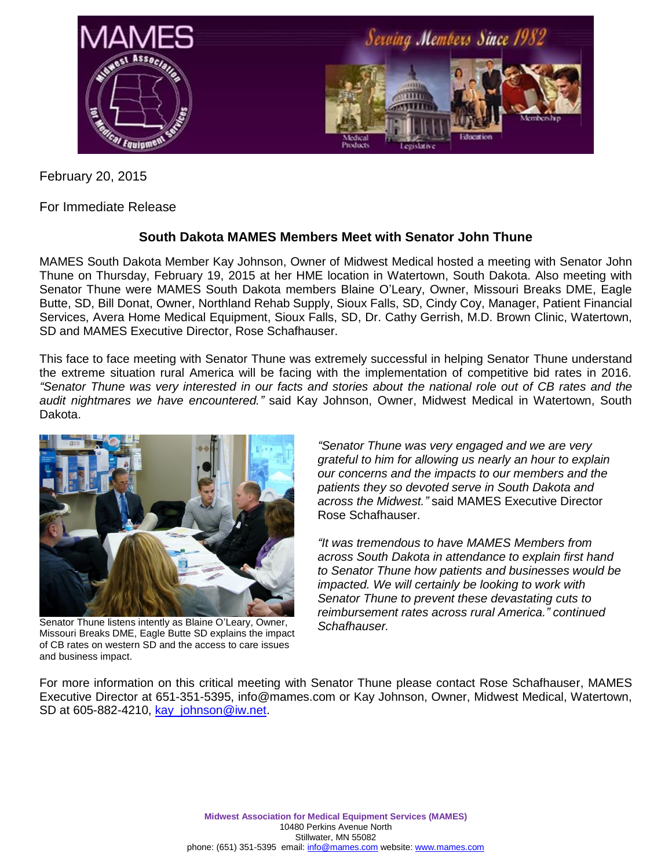

February 20, 2015

For Immediate Release

## **South Dakota MAMES Members Meet with Senator John Thune**

MAMES South Dakota Member Kay Johnson, Owner of Midwest Medical hosted a meeting with Senator John Thune on Thursday, February 19, 2015 at her HME location in Watertown, South Dakota. Also meeting with Senator Thune were MAMES South Dakota members Blaine O'Leary, Owner, Missouri Breaks DME, Eagle Butte, SD, Bill Donat, Owner, Northland Rehab Supply, Sioux Falls, SD, Cindy Coy, Manager, Patient Financial Services, Avera Home Medical Equipment, Sioux Falls, SD, Dr. Cathy Gerrish, M.D. Brown Clinic, Watertown, SD and MAMES Executive Director, Rose Schafhauser.

This face to face meeting with Senator Thune was extremely successful in helping Senator Thune understand the extreme situation rural America will be facing with the implementation of competitive bid rates in 2016. *"Senator Thune was very interested in our facts and stories about the national role out of CB rates and the audit nightmares we have encountered."* said Kay Johnson, Owner, Midwest Medical in Watertown, South Dakota.



Senator Thune listens intently as Blaine O'Leary, Owner, Missouri Breaks DME, Eagle Butte SD explains the impact of CB rates on western SD and the access to care issues and business impact.

*"Senator Thune was very engaged and we are very grateful to him for allowing us nearly an hour to explain our concerns and the impacts to our members and the patients they so devoted serve in South Dakota and across the Midwest."* said MAMES Executive Director Rose Schafhauser.

*"It was tremendous to have MAMES Members from across South Dakota in attendance to explain first hand to Senator Thune how patients and businesses would be impacted. We will certainly be looking to work with Senator Thune to prevent these devastating cuts to reimbursement rates across rural America." continued Schafhauser.*

For more information on this critical meeting with Senator Thune please contact Rose Schafhauser, MAMES Executive Director at 651-351-5395, info@mames.com or Kay Johnson, Owner, Midwest Medical, Watertown, SD at 605-882-4210, [kay\\_johnson@iw.net.](mailto:kay_johnson@iw.net)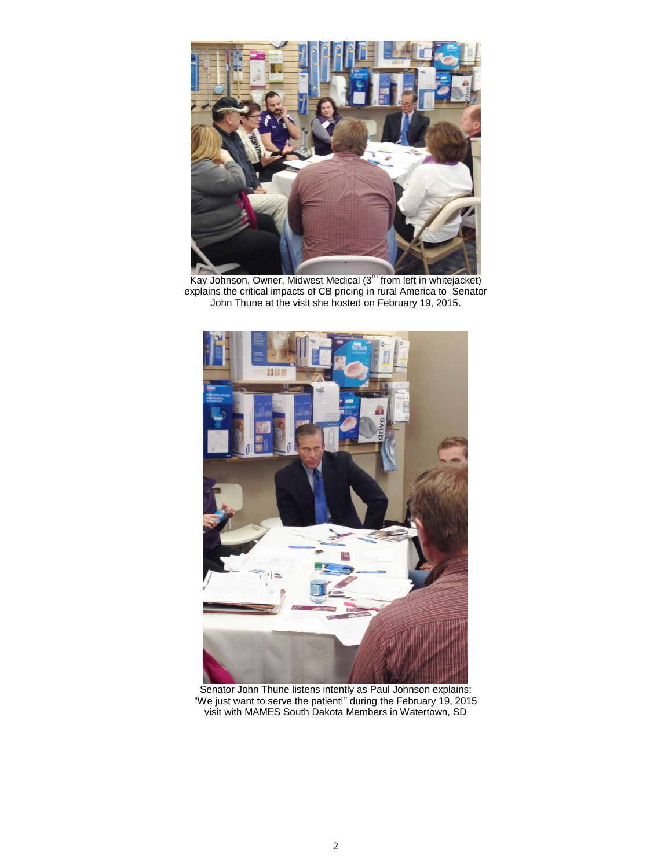

Kay Johnson, Owner, Midwest Medical (3<sup>rd</sup> from left in whitejacket) explains the critical impacts of CB pricing in rural America to Senator John Thune at the visit she hosted on February 19, 2015.



Senator John Thune listens intently as Paul Johnson explains: "We just want to serve the patient!" during the February 19, 2015 visit with MAMES South Dakota Members in Watertown, SD